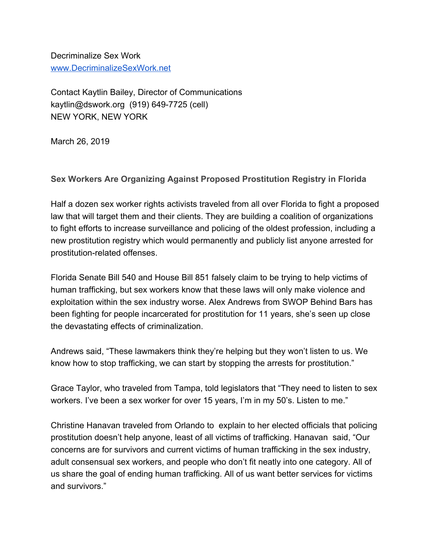Decriminalize Sex Work [www.DecriminalizeSexWork.net](http://www.decriminalizesex.work/)

Contact Kaytlin Bailey, Director of Communications kaytlin@dswork.org (919) 649-7725 (cell) NEW YORK, NEW YORK

March 26, 2019

**Sex Workers Are Organizing Against Proposed Prostitution Registry in Florida**

Half a dozen sex worker rights activists traveled from all over Florida to fight a proposed law that will target them and their clients. They are building a coalition of organizations to fight efforts to increase surveillance and policing of the oldest profession, including a new prostitution registry which would permanently and publicly list anyone arrested for prostitution-related offenses.

Florida Senate Bill 540 and House Bill 851 falsely claim to be trying to help victims of human trafficking, but sex workers know that these laws will only make violence and exploitation within the sex industry worse. Alex Andrews from SWOP Behind Bars has been fighting for people incarcerated for prostitution for 11 years, she's seen up close the devastating effects of criminalization.

Andrews said, "These lawmakers think they're helping but they won't listen to us. We know how to stop trafficking, we can start by stopping the arrests for prostitution."

Grace Taylor, who traveled from Tampa, told legislators that "They need to listen to sex workers. I've been a sex worker for over 15 years, I'm in my 50's. Listen to me."

Christine Hanavan traveled from Orlando to explain to her elected officials that policing prostitution doesn't help anyone, least of all victims of trafficking. Hanavan said, "Our concerns are for survivors and current victims of human trafficking in the sex industry, adult consensual sex workers, and people who don't fit neatly into one category. All of us share the goal of ending human trafficking. All of us want better services for victims and survivors."